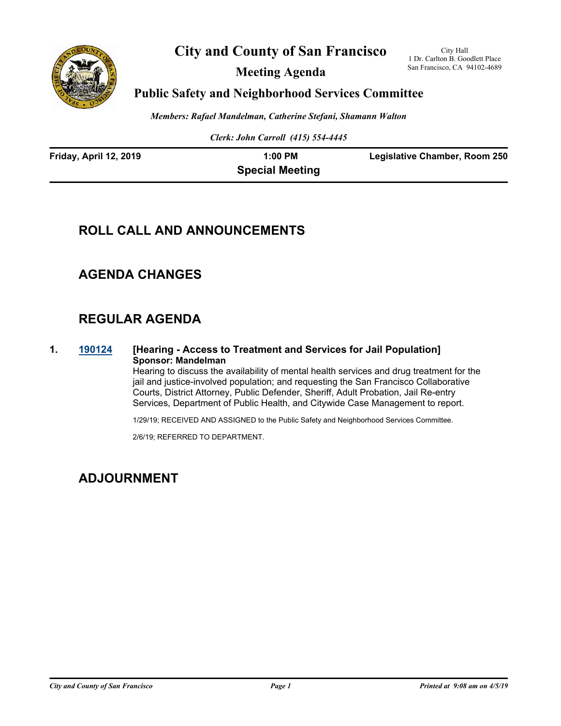

**City and County of San Francisco**

**Meeting Agenda**

City Hall 1 Dr. Carlton B. Goodlett Place San Francisco, CA 94102-4689

### **Public Safety and Neighborhood Services Committee**

*Members: Rafael Mandelman, Catherine Stefani, Shamann Walton*

*Clerk: John Carroll (415) 554-4445*

| Friday, April 12, 2019 | $1:00$ PM              | <b>Legislative Chamber, Room 250</b> |
|------------------------|------------------------|--------------------------------------|
|                        | <b>Special Meeting</b> |                                      |

# **ROLL CALL AND ANNOUNCEMENTS**

## **AGENDA CHANGES**

# **REGULAR AGENDA**

**1. [190124](http://sfgov.legistar.com/gateway.aspx?m=l&id=34245) [Hearing - Access to Treatment and Services for Jail Population] Sponsor: Mandelman**

Hearing to discuss the availability of mental health services and drug treatment for the jail and justice-involved population; and requesting the San Francisco Collaborative Courts, District Attorney, Public Defender, Sheriff, Adult Probation, Jail Re-entry Services, Department of Public Health, and Citywide Case Management to report.

1/29/19; RECEIVED AND ASSIGNED to the Public Safety and Neighborhood Services Committee.

2/6/19; REFERRED TO DEPARTMENT.

### **ADJOURNMENT**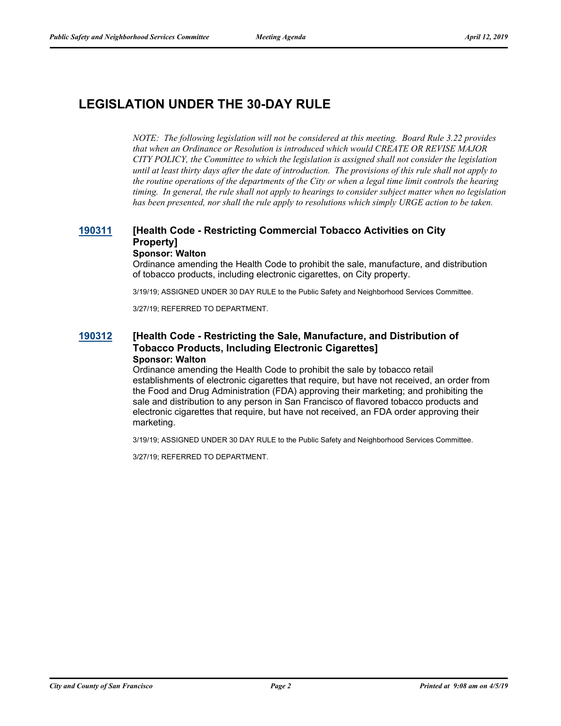# **LEGISLATION UNDER THE 30-DAY RULE**

*NOTE: The following legislation will not be considered at this meeting. Board Rule 3.22 provides that when an Ordinance or Resolution is introduced which would CREATE OR REVISE MAJOR CITY POLICY, the Committee to which the legislation is assigned shall not consider the legislation until at least thirty days after the date of introduction. The provisions of this rule shall not apply to the routine operations of the departments of the City or when a legal time limit controls the hearing timing. In general, the rule shall not apply to hearings to consider subject matter when no legislation has been presented, nor shall the rule apply to resolutions which simply URGE action to be taken.*

#### **[190311](http://sfgov.legistar.com/gateway.aspx?m=l&id=34432) [Health Code - Restricting Commercial Tobacco Activities on City Property] Sponsor: Walton**

Ordinance amending the Health Code to prohibit the sale, manufacture, and distribution of tobacco products, including electronic cigarettes, on City property.

3/19/19; ASSIGNED UNDER 30 DAY RULE to the Public Safety and Neighborhood Services Committee.

3/27/19; REFERRED TO DEPARTMENT.

#### **[190312](http://sfgov.legistar.com/gateway.aspx?m=l&id=34433) [Health Code - Restricting the Sale, Manufacture, and Distribution of Tobacco Products, Including Electronic Cigarettes] Sponsor: Walton**

Ordinance amending the Health Code to prohibit the sale by tobacco retail establishments of electronic cigarettes that require, but have not received, an order from the Food and Drug Administration (FDA) approving their marketing; and prohibiting the sale and distribution to any person in San Francisco of flavored tobacco products and electronic cigarettes that require, but have not received, an FDA order approving their marketing.

3/19/19; ASSIGNED UNDER 30 DAY RULE to the Public Safety and Neighborhood Services Committee.

3/27/19; REFERRED TO DEPARTMENT.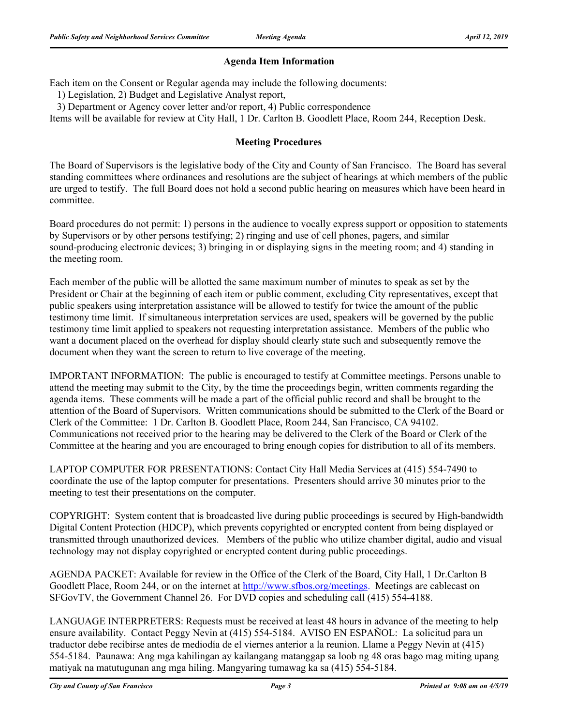### **Agenda Item Information**

Each item on the Consent or Regular agenda may include the following documents:

1) Legislation, 2) Budget and Legislative Analyst report,

3) Department or Agency cover letter and/or report, 4) Public correspondence

Items will be available for review at City Hall, 1 Dr. Carlton B. Goodlett Place, Room 244, Reception Desk.

### **Meeting Procedures**

The Board of Supervisors is the legislative body of the City and County of San Francisco. The Board has several standing committees where ordinances and resolutions are the subject of hearings at which members of the public are urged to testify. The full Board does not hold a second public hearing on measures which have been heard in committee.

Board procedures do not permit: 1) persons in the audience to vocally express support or opposition to statements by Supervisors or by other persons testifying; 2) ringing and use of cell phones, pagers, and similar sound-producing electronic devices; 3) bringing in or displaying signs in the meeting room; and 4) standing in the meeting room.

Each member of the public will be allotted the same maximum number of minutes to speak as set by the President or Chair at the beginning of each item or public comment, excluding City representatives, except that public speakers using interpretation assistance will be allowed to testify for twice the amount of the public testimony time limit. If simultaneous interpretation services are used, speakers will be governed by the public testimony time limit applied to speakers not requesting interpretation assistance. Members of the public who want a document placed on the overhead for display should clearly state such and subsequently remove the document when they want the screen to return to live coverage of the meeting.

IMPORTANT INFORMATION: The public is encouraged to testify at Committee meetings. Persons unable to attend the meeting may submit to the City, by the time the proceedings begin, written comments regarding the agenda items. These comments will be made a part of the official public record and shall be brought to the attention of the Board of Supervisors. Written communications should be submitted to the Clerk of the Board or Clerk of the Committee: 1 Dr. Carlton B. Goodlett Place, Room 244, San Francisco, CA 94102. Communications not received prior to the hearing may be delivered to the Clerk of the Board or Clerk of the Committee at the hearing and you are encouraged to bring enough copies for distribution to all of its members.

LAPTOP COMPUTER FOR PRESENTATIONS: Contact City Hall Media Services at (415) 554-7490 to coordinate the use of the laptop computer for presentations. Presenters should arrive 30 minutes prior to the meeting to test their presentations on the computer.

COPYRIGHT: System content that is broadcasted live during public proceedings is secured by High-bandwidth Digital Content Protection (HDCP), which prevents copyrighted or encrypted content from being displayed or transmitted through unauthorized devices. Members of the public who utilize chamber digital, audio and visual technology may not display copyrighted or encrypted content during public proceedings.

AGENDA PACKET: Available for review in the Office of the Clerk of the Board, City Hall, 1 Dr.Carlton B Goodlett Place, Room 244, or on the internet at http://www.sfbos.org/meetings. Meetings are cablecast on SFGovTV, the Government Channel 26. For DVD copies and scheduling call (415) 554-4188.

LANGUAGE INTERPRETERS: Requests must be received at least 48 hours in advance of the meeting to help ensure availability. Contact Peggy Nevin at (415) 554-5184. AVISO EN ESPAÑOL: La solicitud para un traductor debe recibirse antes de mediodía de el viernes anterior a la reunion. Llame a Peggy Nevin at (415) 554-5184. Paunawa: Ang mga kahilingan ay kailangang matanggap sa loob ng 48 oras bago mag miting upang matiyak na matutugunan ang mga hiling. Mangyaring tumawag ka sa (415) 554-5184.